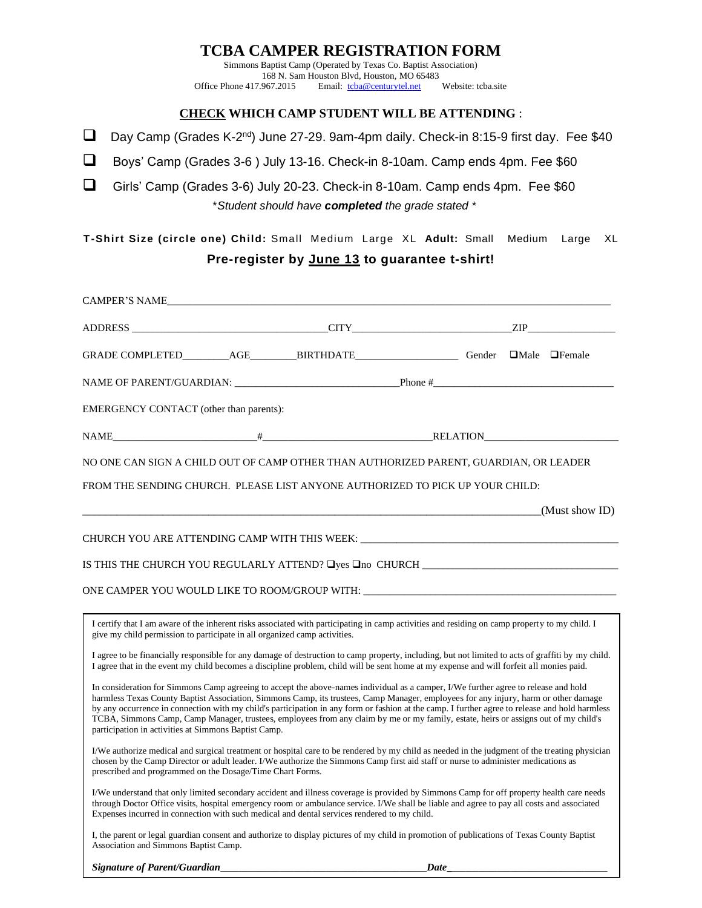## **TCBA CAMPER REGISTRATION FORM**

Simmons Baptist Camp (Operated by Texas Co. Baptist Association) 168 N. Sam Houston Blvd, Houston, MO 65483<br>Office Phone 417.967.2015 Email: tcba@centurytel.net Email: [tcba@centurytel.net](mailto:tcba@centurytel.net) Website: tcba.site

### **CHECK WHICH CAMP STUDENT WILL BE ATTENDING** :

□ Day Camp (Grades K-2<sup>nd</sup>) June 27-29. 9am-4pm daily. Check-in 8:15-9 first day. Fee \$40

❑ Boys' Camp (Grades 3-6 ) July 13-16. Check-in 8-10am. Camp ends 4pm. Fee \$60

❑ Girls' Camp (Grades 3-6) July 20-23. Check-in 8-10am. Camp ends 4pm. Fee \$60 \**Student should have completed the grade stated \**

**T-Shirt Size (circle one) Child:** Small Medium Large XL **Adult:** Small Medium Large XL **Pre-register by June 13 to guarantee t-shirt!**

| NAME OF PARENT/GUARDIAN: Processor Phone #                                                                                                                                                                                                                                                                                                                                                                                                                                                                                                                                                                                  |  |  |      |  |                |
|-----------------------------------------------------------------------------------------------------------------------------------------------------------------------------------------------------------------------------------------------------------------------------------------------------------------------------------------------------------------------------------------------------------------------------------------------------------------------------------------------------------------------------------------------------------------------------------------------------------------------------|--|--|------|--|----------------|
| <b>EMERGENCY CONTACT</b> (other than parents):                                                                                                                                                                                                                                                                                                                                                                                                                                                                                                                                                                              |  |  |      |  |                |
| $H$ RELATION RELATION                                                                                                                                                                                                                                                                                                                                                                                                                                                                                                                                                                                                       |  |  |      |  |                |
| NO ONE CAN SIGN A CHILD OUT OF CAMP OTHER THAN AUTHORIZED PARENT, GUARDIAN, OR LEADER                                                                                                                                                                                                                                                                                                                                                                                                                                                                                                                                       |  |  |      |  |                |
| FROM THE SENDING CHURCH. PLEASE LIST ANYONE AUTHORIZED TO PICK UP YOUR CHILD:                                                                                                                                                                                                                                                                                                                                                                                                                                                                                                                                               |  |  |      |  |                |
|                                                                                                                                                                                                                                                                                                                                                                                                                                                                                                                                                                                                                             |  |  |      |  | (Must show ID) |
|                                                                                                                                                                                                                                                                                                                                                                                                                                                                                                                                                                                                                             |  |  |      |  |                |
| IS THIS THE CHURCH YOU REGULARLY ATTEND? Lyes Lno CHURCH ________________________                                                                                                                                                                                                                                                                                                                                                                                                                                                                                                                                           |  |  |      |  |                |
| ONE CAMPER YOU WOULD LIKE TO ROOM/GROUP WITH:                                                                                                                                                                                                                                                                                                                                                                                                                                                                                                                                                                               |  |  |      |  |                |
|                                                                                                                                                                                                                                                                                                                                                                                                                                                                                                                                                                                                                             |  |  |      |  |                |
| I certify that I am aware of the inherent risks associated with participating in camp activities and residing on camp property to my child. I<br>give my child permission to participate in all organized camp activities.                                                                                                                                                                                                                                                                                                                                                                                                  |  |  |      |  |                |
| I agree to be financially responsible for any damage of destruction to camp property, including, but not limited to acts of graffiti by my child.<br>I agree that in the event my child becomes a discipline problem, child will be sent home at my expense and will forfeit all monies paid.                                                                                                                                                                                                                                                                                                                               |  |  |      |  |                |
| In consideration for Simmons Camp agreeing to accept the above-names individual as a camper, I/We further agree to release and hold<br>harmless Texas County Baptist Association, Simmons Camp, its trustees, Camp Manager, employees for any injury, harm or other damage<br>by any occurrence in connection with my child's participation in any form or fashion at the camp. I further agree to release and hold harmless<br>TCBA, Simmons Camp, Camp Manager, trustees, employees from any claim by me or my family, estate, heirs or assigns out of my child's<br>participation in activities at Simmons Baptist Camp. |  |  |      |  |                |
| I/We authorize medical and surgical treatment or hospital care to be rendered by my child as needed in the judgment of the treating physician<br>chosen by the Camp Director or adult leader. I/We authorize the Simmons Camp first aid staff or nurse to administer medications as<br>prescribed and programmed on the Dosage/Time Chart Forms.                                                                                                                                                                                                                                                                            |  |  |      |  |                |
| I/We understand that only limited secondary accident and illness coverage is provided by Simmons Camp for off property health care needs<br>through Doctor Office visits, hospital emergency room or ambulance service. I/We shall be liable and agree to pay all costs and associated<br>Expenses incurred in connection with such medical and dental services rendered to my child.                                                                                                                                                                                                                                       |  |  |      |  |                |
| I, the parent or legal guardian consent and authorize to display pictures of my child in promotion of publications of Texas County Baptist<br>Association and Simmons Baptist Camp.                                                                                                                                                                                                                                                                                                                                                                                                                                         |  |  |      |  |                |
| Signature of Parent/Guardian                                                                                                                                                                                                                                                                                                                                                                                                                                                                                                                                                                                                |  |  | Date |  |                |